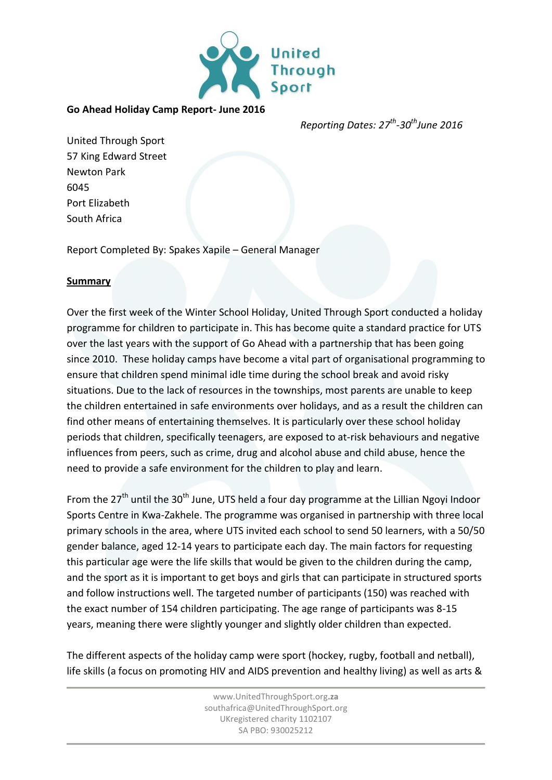

## **Go Ahead Holiday Camp Report- June 2016**

*Reporting Dates: 27 th -30thJune 2016*

United Through Sport 57 King Edward Street Newton Park 6045 Port Elizabeth South Africa

Report Completed By: Spakes Xapile – General Manager

## **Summary**

Over the first week of the Winter School Holiday, United Through Sport conducted a holiday programme for children to participate in. This has become quite a standard practice for UTS over the last years with the support of Go Ahead with a partnership that has been going since 2010. These holiday camps have become a vital part of organisational programming to ensure that children spend minimal idle time during the school break and avoid risky situations. Due to the lack of resources in the townships, most parents are unable to keep the children entertained in safe environments over holidays, and as a result the children can find other means of entertaining themselves. It is particularly over these school holiday periods that children, specifically teenagers, are exposed to at-risk behaviours and negative influences from peers, such as crime, drug and alcohol abuse and child abuse, hence the need to provide a safe environment for the children to play and learn.

From the 27<sup>th</sup> until the 30<sup>th</sup> June, UTS held a four day programme at the Lillian Ngoyi Indoor Sports Centre in Kwa-Zakhele. The programme was organised in partnership with three local primary schools in the area, where UTS invited each school to send 50 learners, with a 50/50 gender balance, aged 12-14 years to participate each day. The main factors for requesting this particular age were the life skills that would be given to the children during the camp, and the sport as it is important to get boys and girls that can participate in structured sports and follow instructions well. The targeted number of participants (150) was reached with the exact number of 154 children participating. The age range of participants was 8-15 years, meaning there were slightly younger and slightly older children than expected.

The different aspects of the holiday camp were sport (hockey, rugby, football and netball), life skills (a focus on promoting HIV and AIDS prevention and healthy living) as well as arts &

> www.UnitedThroughSport.org**.za** southafrica@UnitedThroughSport.org UKregistered charity 1102107 SA PBO: 930025212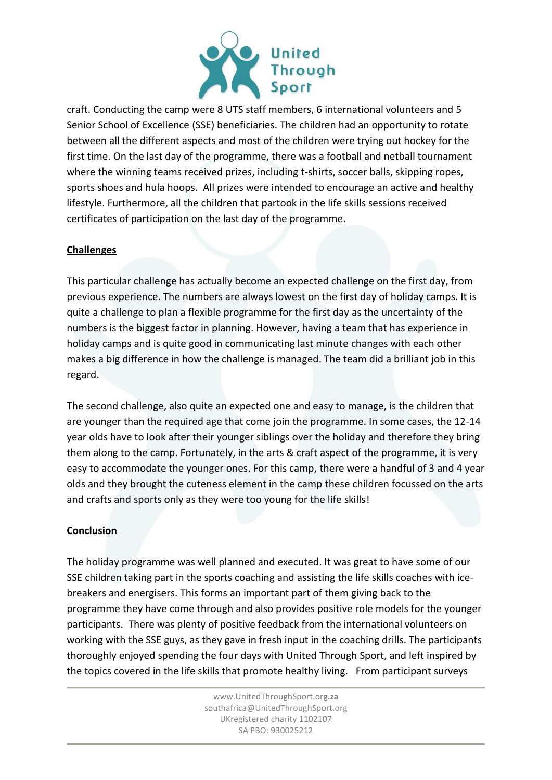

craft. Conducting the camp were 8 UTS staff members, 6 international volunteers and 5 Senior School of Excellence (SSE) beneficiaries. The children had an opportunity to rotate between all the different aspects and most of the children were trying out hockey for the first time. On the last day of the programme, there was a football and netball tournament where the winning teams received prizes, including t-shirts, soccer balls, skipping ropes, sports shoes and hula hoops. All prizes were intended to encourage an active and healthy lifestyle. Furthermore, all the children that partook in the life skills sessions received certificates of participation on the last day of the programme.

## **Challenges**

This particular challenge has actually become an expected challenge on the first day, from previous experience. The numbers are always lowest on the first day of holiday camps. It is quite a challenge to plan a flexible programme for the first day as the uncertainty of the numbers is the biggest factor in planning. However, having a team that has experience in holiday camps and is quite good in communicating last minute changes with each other makes a big difference in how the challenge is managed. The team did a brilliant job in this regard.

The second challenge, also quite an expected one and easy to manage, is the children that are younger than the required age that come join the programme. In some cases, the 12-14 year olds have to look after their younger siblings over the holiday and therefore they bring them along to the camp. Fortunately, in the arts & craft aspect of the programme, it is very easy to accommodate the younger ones. For this camp, there were a handful of 3 and 4 year olds and they brought the cuteness element in the camp these children focussed on the arts and crafts and sports only as they were too young for the life skills!

## **Conclusion**

The holiday programme was well planned and executed. It was great to have some of our SSE children taking part in the sports coaching and assisting the life skills coaches with icebreakers and energisers. This forms an important part of them giving back to the programme they have come through and also provides positive role models for the younger participants. There was plenty of positive feedback from the international volunteers on working with the SSE guys, as they gave in fresh input in the coaching drills. The participants thoroughly enjoyed spending the four days with United Through Sport, and left inspired by the topics covered in the life skills that promote healthy living. From participant surveys

> www.UnitedThroughSport.org**.za** southafrica@UnitedThroughSport.org UKregistered charity 1102107 SA PBO: 930025212